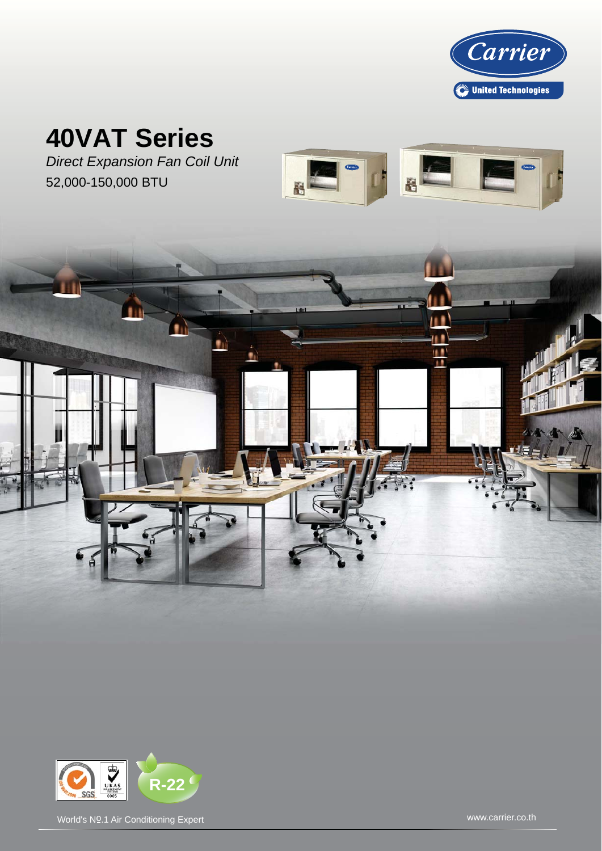

# **40VAT Series**

*Direct Expansion Fan Coil Unit* 52,000-150,000 BTU







World's No.1 Air Conditioning Expert World's No.1 Air Conditioning Expert World's No.1 Air Conditioning Expert